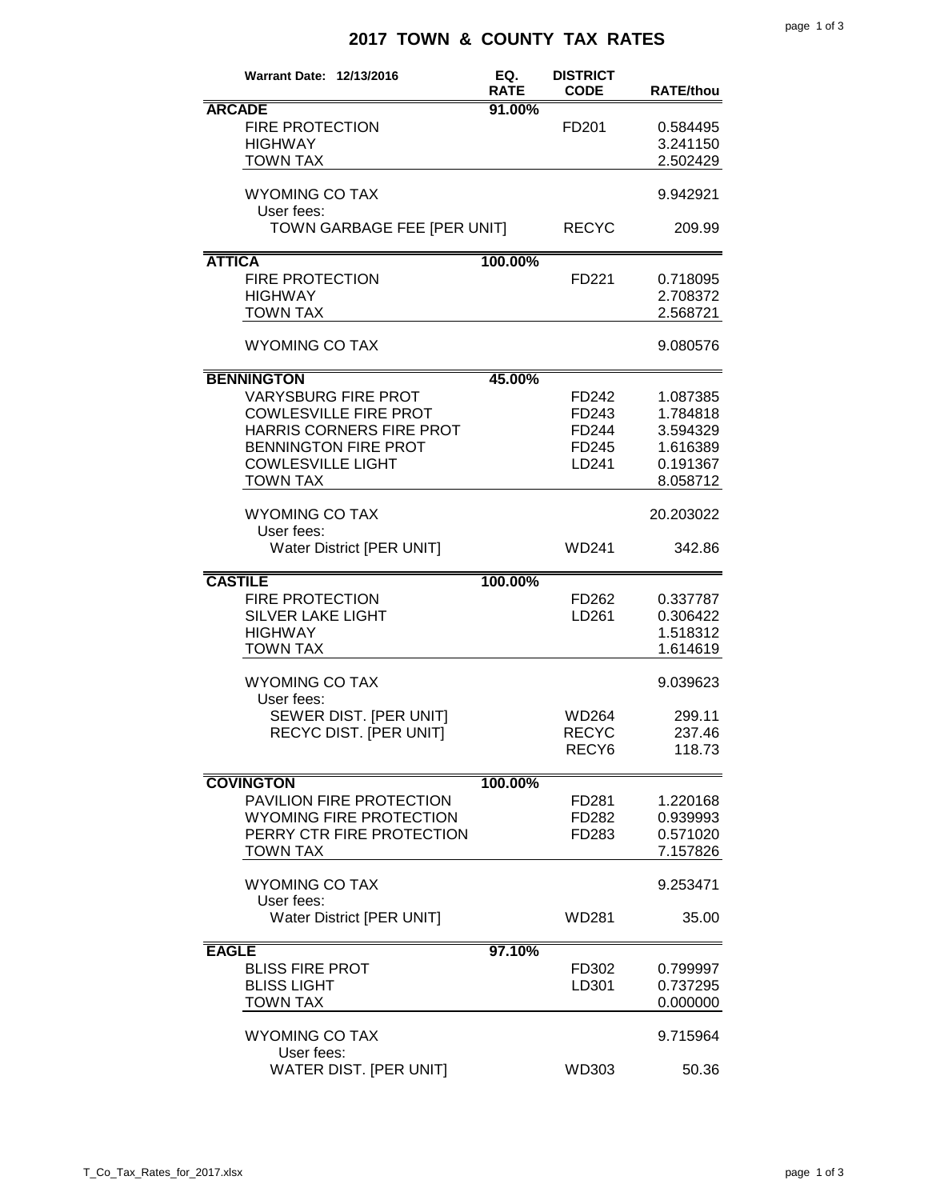## **2017 TOWN & COUNTY TAX RATES**

| <b>Warrant Date: 12/13/2016</b>                                                                                                                                                           | EQ.<br><b>RATE</b> | <b>DISTRICT</b><br><b>CODE</b>             | <b>RATE/thou</b>                                                     |
|-------------------------------------------------------------------------------------------------------------------------------------------------------------------------------------------|--------------------|--------------------------------------------|----------------------------------------------------------------------|
| <b>ARCADE</b><br><b>FIRE PROTECTION</b><br><b>HIGHWAY</b><br><b>TOWN TAX</b>                                                                                                              | 91.00%             | FD <sub>201</sub>                          | 0.584495<br>3.241150<br>2.502429                                     |
| <b>WYOMING CO TAX</b><br>User fees:                                                                                                                                                       |                    |                                            | 9.942921                                                             |
| TOWN GARBAGE FEE [PER UNIT]                                                                                                                                                               |                    | <b>RECYC</b>                               | 209.99                                                               |
| <b>ATTICA</b><br><b>FIRE PROTECTION</b><br><b>HIGHWAY</b><br><b>TOWN TAX</b>                                                                                                              | 100.00%            | FD221                                      | 0.718095<br>2.708372<br>2.568721                                     |
| <b>WYOMING CO TAX</b>                                                                                                                                                                     |                    |                                            | 9.080576                                                             |
| <b>BENNINGTON</b><br><b>VARYSBURG FIRE PROT</b><br><b>COWLESVILLE FIRE PROT</b><br>HARRIS CORNERS FIRE PROT<br><b>BENNINGTON FIRE PROT</b><br><b>COWLESVILLE LIGHT</b><br><b>TOWN TAX</b> | 45.00%             | FD242<br>FD243<br>FD244<br>FD245<br>LD241  | 1.087385<br>1.784818<br>3.594329<br>1.616389<br>0.191367<br>8.058712 |
| <b>WYOMING CO TAX</b><br>User fees:<br><b>Water District [PER UNIT]</b>                                                                                                                   |                    | <b>WD241</b>                               | 20.203022<br>342.86                                                  |
| <b>CASTILE</b><br><b>FIRE PROTECTION</b><br><b>SILVER LAKE LIGHT</b><br><b>HIGHWAY</b><br><b>TOWN TAX</b>                                                                                 | 100.00%            | FD262<br>LD261                             | 0.337787<br>0.306422<br>1.518312<br>1.614619                         |
| <b>WYOMING CO TAX</b><br>User fees:                                                                                                                                                       |                    |                                            | 9.039623                                                             |
| SEWER DIST. [PER UNIT]<br>RECYC DIST. [PER UNIT]                                                                                                                                          |                    | WD264<br><b>RECYC</b><br>RECY <sub>6</sub> | 299.11<br>237.46<br>118.73                                           |
| <b>COVINGTON</b>                                                                                                                                                                          | 100.00%            |                                            |                                                                      |
| PAVILION FIRE PROTECTION<br><b>WYOMING FIRE PROTECTION</b><br>PERRY CTR FIRE PROTECTION<br><b>TOWN TAX</b>                                                                                |                    | FD281<br>FD282<br>FD283                    | 1.220168<br>0.939993<br>0.571020<br>7.157826                         |
| <b>WYOMING CO TAX</b><br>User fees:                                                                                                                                                       |                    |                                            | 9.253471                                                             |
| <b>Water District [PER UNIT]</b>                                                                                                                                                          |                    | WD281                                      | 35.00                                                                |
| <b>EAGLE</b><br><b>BLISS FIRE PROT</b><br><b>BLISS LIGHT</b><br><b>TOWN TAX</b>                                                                                                           | 97.10%             | FD302<br>LD301                             | 0.799997<br>0.737295<br>0.000000                                     |
| <b>WYOMING CO TAX</b><br>User fees:                                                                                                                                                       |                    |                                            | 9.715964                                                             |
| <b>WATER DIST. [PER UNIT]</b>                                                                                                                                                             |                    | WD303                                      | 50.36                                                                |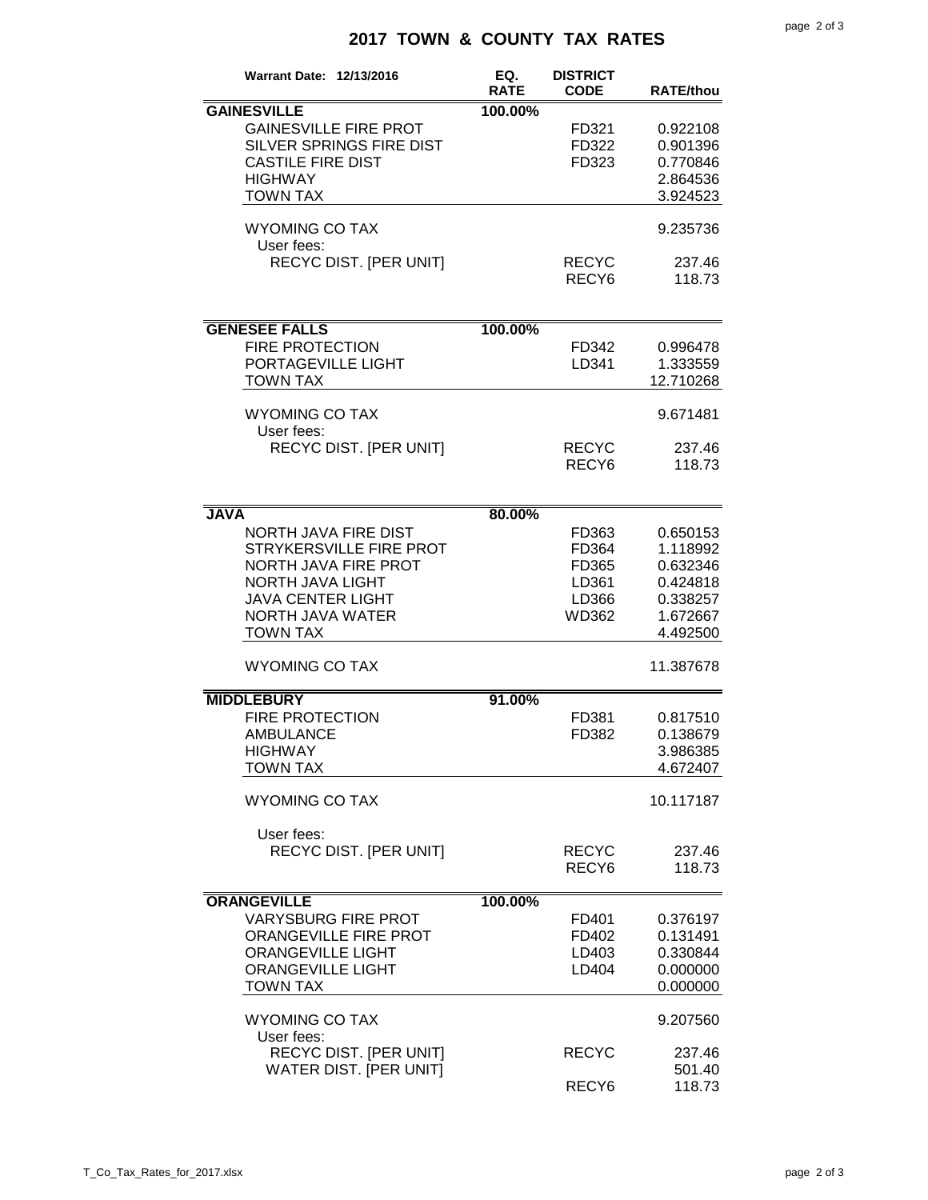## **2017 TOWN & COUNTY TAX RATES**

| <b>Warrant Date: 12/13/2016</b>                                                                                                                                              | EQ.<br><b>RATE</b> | <b>DISTRICT</b><br><b>CODE</b>                     | <b>RATE/thou</b>                                                                 |
|------------------------------------------------------------------------------------------------------------------------------------------------------------------------------|--------------------|----------------------------------------------------|----------------------------------------------------------------------------------|
| <b>GAINESVILLE</b>                                                                                                                                                           |                    |                                                    |                                                                                  |
| <b>GAINESVILLE FIRE PROT</b><br>SILVER SPRINGS FIRE DIST<br><b>CASTILE FIRE DIST</b><br><b>HIGHWAY</b>                                                                       | 100.00%            | FD321<br>FD322<br>FD323                            | 0.922108<br>0.901396<br>0.770846<br>2.864536                                     |
| <b>TOWN TAX</b>                                                                                                                                                              |                    |                                                    | 3.924523                                                                         |
| <b>WYOMING CO TAX</b><br>User fees:                                                                                                                                          |                    |                                                    | 9.235736                                                                         |
| <b>RECYC DIST. [PER UNIT]</b>                                                                                                                                                |                    | <b>RECYC</b><br>RECY <sub>6</sub>                  | 237.46<br>118.73                                                                 |
| <b>GENESEE FALLS</b>                                                                                                                                                         | 100.00%            |                                                    |                                                                                  |
| <b>FIRE PROTECTION</b><br>PORTAGEVILLE LIGHT<br><b>TOWN TAX</b>                                                                                                              |                    | FD342<br>LD341                                     | 0.996478<br>1.333559<br>12.710268                                                |
| <b>WYOMING CO TAX</b><br>User fees:                                                                                                                                          |                    |                                                    | 9.671481                                                                         |
| <b>RECYC DIST. [PER UNIT]</b>                                                                                                                                                |                    | <b>RECYC</b><br>RECY <sub>6</sub>                  | 237.46<br>118.73                                                                 |
| <b>JAVA</b>                                                                                                                                                                  | 80.00%             |                                                    |                                                                                  |
| <b>NORTH JAVA FIRE DIST</b><br>STRYKERSVILLE FIRE PROT<br><b>NORTH JAVA FIRE PROT</b><br>NORTH JAVA LIGHT<br><b>JAVA CENTER LIGHT</b><br>NORTH JAVA WATER<br><b>TOWN TAX</b> |                    | FD363<br>FD364<br>FD365<br>LD361<br>LD366<br>WD362 | 0.650153<br>1.118992<br>0.632346<br>0.424818<br>0.338257<br>1.672667<br>4.492500 |
| <b>WYOMING CO TAX</b>                                                                                                                                                        |                    |                                                    | 11.387678                                                                        |
| <b>MIDDLEBURY</b>                                                                                                                                                            | 91.00%             |                                                    |                                                                                  |
| <b>FIRE PROTECTION</b><br><b>AMBULANCE</b><br><b>HIGHWAY</b><br><b>TOWN TAX</b>                                                                                              |                    | FD381<br>FD382                                     | 0.817510<br>0.138679<br>3.986385<br>4.672407                                     |
| <b>WYOMING CO TAX</b>                                                                                                                                                        |                    |                                                    | 10.117187                                                                        |
| User fees:<br>RECYC DIST. [PER UNIT]                                                                                                                                         |                    | <b>RECYC</b><br>RECY <sub>6</sub>                  | 237.46<br>118.73                                                                 |
| <b>ORANGEVILLE</b>                                                                                                                                                           | 100.00%            |                                                    |                                                                                  |
| <b>VARYSBURG FIRE PROT</b><br>ORANGEVILLE FIRE PROT<br><b>ORANGEVILLE LIGHT</b><br><b>ORANGEVILLE LIGHT</b><br><b>TOWN TAX</b>                                               |                    | FD401<br>FD402<br>LD403<br>LD404                   | 0.376197<br>0.131491<br>0.330844<br>0.000000<br>0.000000                         |
| <b>WYOMING CO TAX</b><br>User fees:                                                                                                                                          |                    |                                                    | 9.207560                                                                         |
| <b>RECYC DIST. [PER UNIT]</b><br><b>WATER DIST. [PER UNIT]</b>                                                                                                               |                    | <b>RECYC</b><br>RECY <sub>6</sub>                  | 237.46<br>501.40<br>118.73                                                       |